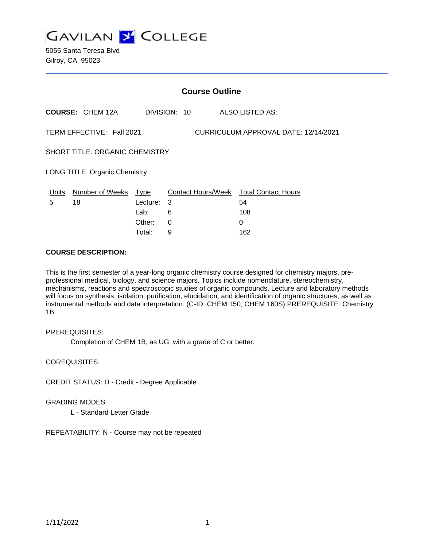

5055 Santa Teresa Blvd Gilroy, CA 95023

| <b>Course Outline</b> |                                       |                                                                                                                                 |   |                 |  |
|-----------------------|---------------------------------------|---------------------------------------------------------------------------------------------------------------------------------|---|-----------------|--|
|                       | <b>COURSE: CHEM 12A</b>               |                                                                                                                                 |   | ALSO LISTED AS: |  |
|                       | TERM EFFECTIVE: Fall 2021             | DIVISION: 10<br>CURRICULUM APPROVAL DATE: 12/14/2021<br>Contact Hours/Week Total Contact Hours<br>Type<br>- 3<br>54<br>Lecture: |   |                 |  |
|                       | <b>SHORT TITLE: ORGANIC CHEMISTRY</b> |                                                                                                                                 |   |                 |  |
|                       | <b>LONG TITLE: Organic Chemistry</b>  |                                                                                                                                 |   |                 |  |
| Units                 | Number of Weeks                       |                                                                                                                                 |   |                 |  |
| 5                     | 18                                    |                                                                                                                                 |   |                 |  |
|                       |                                       | Lab:                                                                                                                            | 6 | 108             |  |
|                       |                                       | Other:                                                                                                                          | 0 | 0               |  |
|                       |                                       | Total:                                                                                                                          | 9 | 162             |  |

#### **COURSE DESCRIPTION:**

This is the first semester of a year-long organic chemistry course designed for chemistry majors, preprofessional medical, biology, and science majors. Topics include nomenclature, stereochemistry, mechanisms, reactions and spectroscopic studies of organic compounds. Lecture and laboratory methods will focus on synthesis, isolation, purification, elucidation, and identification of organic structures, as well as instrumental methods and data interpretation. (C-ID: CHEM 150, CHEM 160S) PREREQUISITE: Chemistry 1B

### PREREQUISITES:

Completion of CHEM 1B, as UG, with a grade of C or better.

COREQUISITES:

CREDIT STATUS: D - Credit - Degree Applicable

#### GRADING MODES

L - Standard Letter Grade

REPEATABILITY: N - Course may not be repeated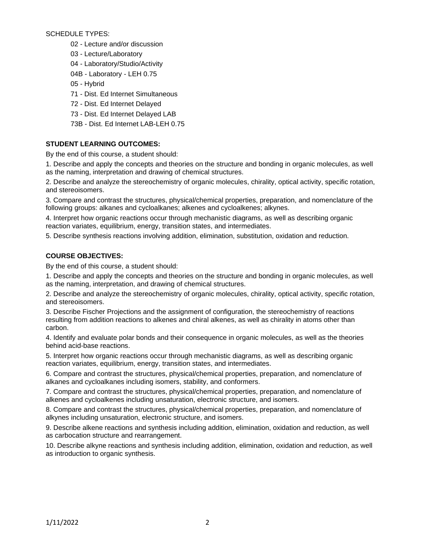SCHEDULE TYPES:

- 02 Lecture and/or discussion
- 03 Lecture/Laboratory
- 04 Laboratory/Studio/Activity
- 04B Laboratory LEH 0.75
- 05 Hybrid
- 71 Dist. Ed Internet Simultaneous
- 72 Dist. Ed Internet Delayed
- 73 Dist. Ed Internet Delayed LAB
- 73B Dist. Ed Internet LAB-LEH 0.75

## **STUDENT LEARNING OUTCOMES:**

By the end of this course, a student should:

1. Describe and apply the concepts and theories on the structure and bonding in organic molecules, as well as the naming, interpretation and drawing of chemical structures.

2. Describe and analyze the stereochemistry of organic molecules, chirality, optical activity, specific rotation, and stereoisomers.

3. Compare and contrast the structures, physical/chemical properties, preparation, and nomenclature of the following groups: alkanes and cycloalkanes; alkenes and cycloalkenes; alkynes.

4. Interpret how organic reactions occur through mechanistic diagrams, as well as describing organic reaction variates, equilibrium, energy, transition states, and intermediates.

5. Describe synthesis reactions involving addition, elimination, substitution, oxidation and reduction.

### **COURSE OBJECTIVES:**

By the end of this course, a student should:

1. Describe and apply the concepts and theories on the structure and bonding in organic molecules, as well as the naming, interpretation, and drawing of chemical structures.

2. Describe and analyze the stereochemistry of organic molecules, chirality, optical activity, specific rotation, and stereoisomers.

3. Describe Fischer Projections and the assignment of configuration, the stereochemistry of reactions resulting from addition reactions to alkenes and chiral alkenes, as well as chirality in atoms other than carbon.

4. Identify and evaluate polar bonds and their consequence in organic molecules, as well as the theories behind acid-base reactions.

5. Interpret how organic reactions occur through mechanistic diagrams, as well as describing organic reaction variates, equilibrium, energy, transition states, and intermediates.

6. Compare and contrast the structures, physical/chemical properties, preparation, and nomenclature of alkanes and cycloalkanes including isomers, stability, and conformers.

7. Compare and contrast the structures, physical/chemical properties, preparation, and nomenclature of alkenes and cycloalkenes including unsaturation, electronic structure, and isomers.

8. Compare and contrast the structures, physical/chemical properties, preparation, and nomenclature of alkynes including unsaturation, electronic structure, and isomers.

9. Describe alkene reactions and synthesis including addition, elimination, oxidation and reduction, as well as carbocation structure and rearrangement.

10. Describe alkyne reactions and synthesis including addition, elimination, oxidation and reduction, as well as introduction to organic synthesis.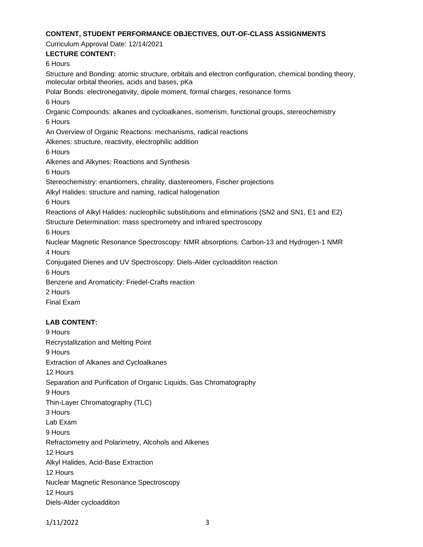#### **CONTENT, STUDENT PERFORMANCE OBJECTIVES, OUT-OF-CLASS ASSIGNMENTS**

Curriculum Approval Date: 12/14/2021

# **LECTURE CONTENT:**

6 Hours

Structure and Bonding: atomic structure, orbitals and electron configuration, chemical bonding theory, molecular orbital theories, acids and bases, pKa Polar Bonds: electronegativity, dipole moment, formal charges, resonance forms 6 Hours Organic Compounds: alkanes and cycloalkanes, isomerism, functional groups, stereochemistry 6 Hours An Overview of Organic Reactions: mechanisms, radical reactions Alkenes: structure, reactivity, electrophilic addition 6 Hours Alkenes and Alkynes: Reactions and Synthesis 6 Hours Stereochemistry: enantiomers, chirality, diastereomers, Fischer projections Alkyl Halides: structure and naming, radical halogenation 6 Hours Reactions of Alkyl Halides: nucleophilic substitutions and eliminations (SN2 and SN1, E1 and E2) Structure Determination: mass spectrometry and infrared spectroscopy 6 Hours Nuclear Magnetic Resonance Spectroscopy: NMR absorptions. Carbon-13 and Hydrogen-1 NMR 4 Hours Conjugated Dienes and UV Spectroscopy: Diels-Alder cycloadditon reaction 6 Hours Benzene and Aromaticity: Friedel-Crafts reaction 2 Hours Final Exam

# **LAB CONTENT:**

9 Hours Recrystallization and Melting Point 9 Hours Extraction of Alkanes and Cycloalkanes 12 Hours Separation and Purification of Organic Liquids, Gas Chromatography 9 Hours Thin-Layer Chromatography (TLC) 3 Hours Lab Exam 9 Hours Refractometry and Polarimetry, Alcohols and Alkenes 12 Hours Alkyl Halides, Acid-Base Extraction 12 Hours Nuclear Magnetic Resonance Spectroscopy 12 Hours Diels-Alder cycloadditon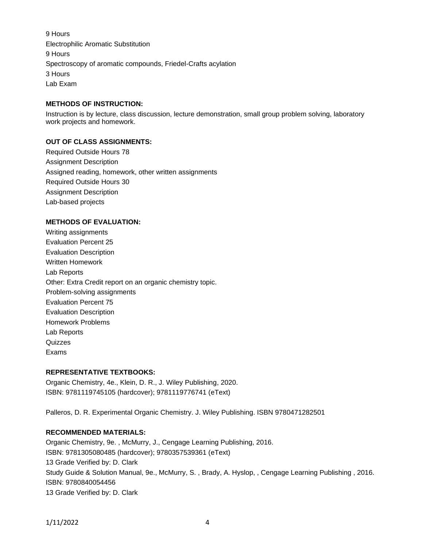9 Hours Electrophilic Aromatic Substitution 9 Hours Spectroscopy of aromatic compounds, Friedel-Crafts acylation 3 Hours Lab Exam

#### **METHODS OF INSTRUCTION:**

Instruction is by lecture, class discussion, lecture demonstration, small group problem solving, laboratory work projects and homework.

### **OUT OF CLASS ASSIGNMENTS:**

Required Outside Hours 78 Assignment Description Assigned reading, homework, other written assignments Required Outside Hours 30 Assignment Description Lab-based projects

### **METHODS OF EVALUATION:**

Writing assignments Evaluation Percent 25 Evaluation Description Written Homework Lab Reports Other: Extra Credit report on an organic chemistry topic. Problem-solving assignments Evaluation Percent 75 Evaluation Description Homework Problems Lab Reports Quizzes Exams

### **REPRESENTATIVE TEXTBOOKS:**

Organic Chemistry, 4e., Klein, D. R., J. Wiley Publishing, 2020. ISBN: 9781119745105 (hardcover); 9781119776741 (eText)

Palleros, D. R. Experimental Organic Chemistry. J. Wiley Publishing. ISBN 9780471282501

### **RECOMMENDED MATERIALS:**

Organic Chemistry, 9e. , McMurry, J., Cengage Learning Publishing, 2016. ISBN: 9781305080485 (hardcover); 9780357539361 (eText) 13 Grade Verified by: D. Clark Study Guide & Solution Manual, 9e., McMurry, S. , Brady, A. Hyslop, , Cengage Learning Publishing , 2016. ISBN: 9780840054456 13 Grade Verified by: D. Clark